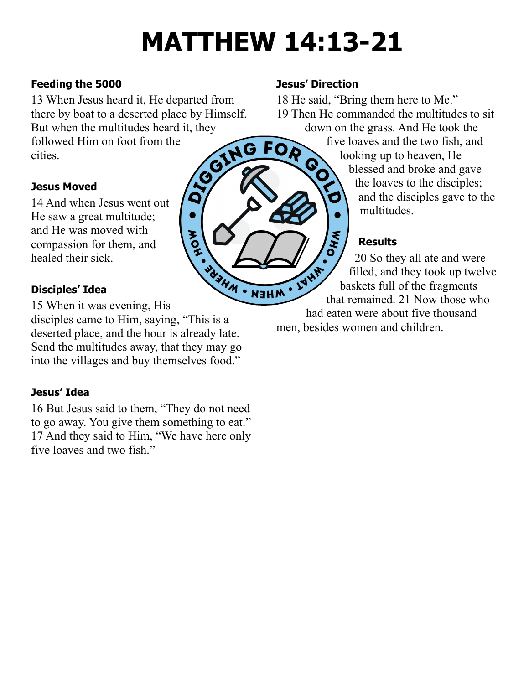# **MATTHEW 14:13-21**

FOR

### **Feeding the 5000**

13 When Jesus heard it, He departed from there by boat to a deserted place by Himself. But when the multitudes heard it, they<br>followed Him on foot from the<br>cities. followed Him on foot from the cities.

 $\bullet$ 

**AOH** 

#### **Jesus Moved**

14 And when Jesus went out He saw a great multitude; and He was moved with compassion for them, and healed their sick.

# **Disciples' Idea**

WHEN . NEWS 15 When it was evening, His disciples came to Him, saying, "This is a deserted place, and the hour is already late. Send the multitudes away, that they may go into the villages and buy themselves food."

## **Jesus' Idea**

16 But Jesus said to them, "They do not need to go away. You give them something to eat." 17 And they said to Him, "We have here only five loaves and two fish."

## **Jesus' Direction**

SO

18 He said, "Bring them here to Me." 19 Then He commanded the multitudes to sit down on the grass. And He took the

five loaves and the two fish, and looking up to heaven, He blessed and broke and gave the loaves to the disciples; Ó and the disciples gave to the multitudes.

# **Results**

**\\***<br>(<br>0<br>( 20 So they all ate and were that remained. 21 Now those who filled, and they took up twelve baskets full of the fragments had eaten were about five thousand men, besides women and children.